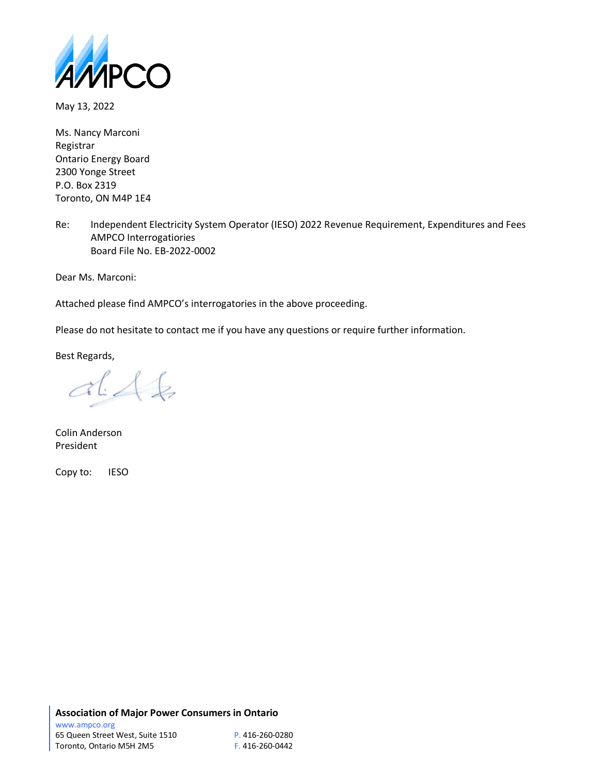

May 13, 2022

Ms. Nancy Marconi Registrar Ontario Energy Board 2300 Yonge Street P.O. Box 2319 Toronto, ON M4P 1E4

Re: Independent Electricity System Operator (IESO) 2022 Revenue Requirement, Expenditures and Fees AMPCO Interrogatiories Board File No. EB-2022-0002

Dear Ms. Marconi:

Attached please find AMPCO's interrogatories in the above proceeding.

Please do not hesitate to contact me if you have any questions or require further information.

Best Regards,

 $dA6$ 

Colin Anderson President

Copy to: IESO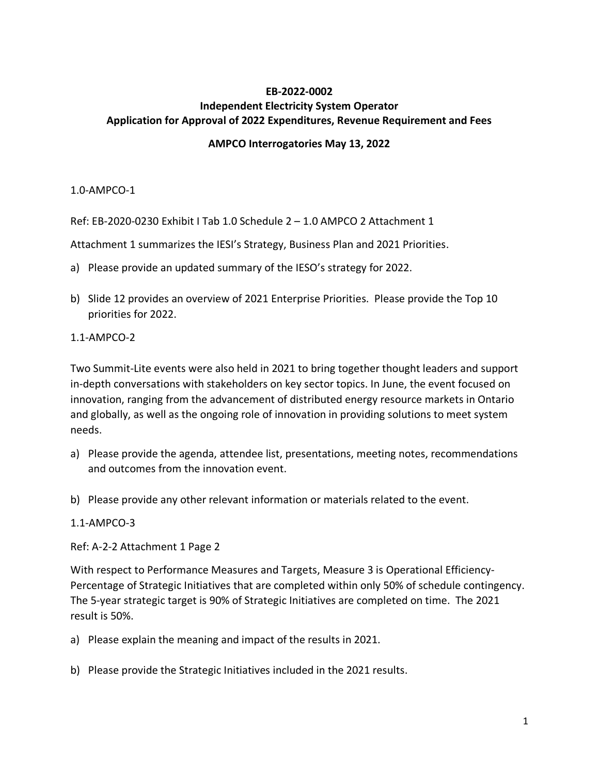# **EB-2022-0002 Independent Electricity System Operator Application for Approval of 2022 Expenditures, Revenue Requirement and Fees**

## **AMPCO Interrogatories May 13, 2022**

## 1.0-AMPCO-1

Ref: EB-2020-0230 Exhibit I Tab 1.0 Schedule 2 – 1.0 AMPCO 2 Attachment 1

Attachment 1 summarizes the IESI's Strategy, Business Plan and 2021 Priorities.

- a) Please provide an updated summary of the IESO's strategy for 2022.
- b) Slide 12 provides an overview of 2021 Enterprise Priorities. Please provide the Top 10 priorities for 2022.

## 1.1-AMPCO-2

Two Summit-Lite events were also held in 2021 to bring together thought leaders and support in-depth conversations with stakeholders on key sector topics. In June, the event focused on innovation, ranging from the advancement of distributed energy resource markets in Ontario and globally, as well as the ongoing role of innovation in providing solutions to meet system needs.

- a) Please provide the agenda, attendee list, presentations, meeting notes, recommendations and outcomes from the innovation event.
- b) Please provide any other relevant information or materials related to the event.

#### 1.1-AMPCO-3

Ref: A-2-2 Attachment 1 Page 2

With respect to Performance Measures and Targets, Measure 3 is Operational Efficiency-Percentage of Strategic Initiatives that are completed within only 50% of schedule contingency. The 5-year strategic target is 90% of Strategic Initiatives are completed on time. The 2021 result is 50%.

a) Please explain the meaning and impact of the results in 2021.

b) Please provide the Strategic Initiatives included in the 2021 results.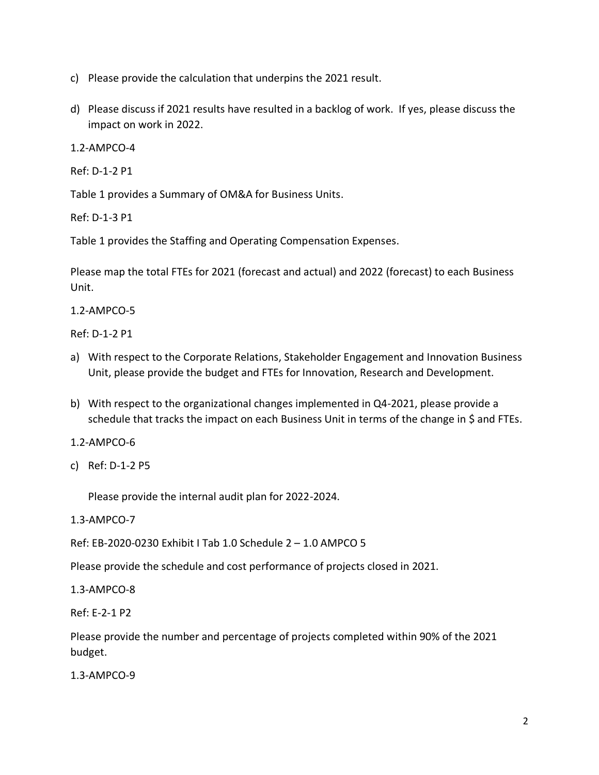- c) Please provide the calculation that underpins the 2021 result.
- d) Please discuss if 2021 results have resulted in a backlog of work. If yes, please discuss the impact on work in 2022.

1.2-AMPCO-4

Ref: D-1-2 P1

Table 1 provides a Summary of OM&A for Business Units.

Ref: D-1-3 P1

Table 1 provides the Staffing and Operating Compensation Expenses.

Please map the total FTEs for 2021 (forecast and actual) and 2022 (forecast) to each Business Unit.

1.2-AMPCO-5

Ref: D-1-2 P1

- a) With respect to the Corporate Relations, Stakeholder Engagement and Innovation Business Unit, please provide the budget and FTEs for Innovation, Research and Development.
- b) With respect to the organizational changes implemented in Q4-2021, please provide a schedule that tracks the impact on each Business Unit in terms of the change in \$ and FTEs.

1.2-AMPCO-6

c) Ref: D-1-2 P5

Please provide the internal audit plan for 2022-2024.

1.3-AMPCO-7

Ref: EB-2020-0230 Exhibit I Tab 1.0 Schedule 2 – 1.0 AMPCO 5

Please provide the schedule and cost performance of projects closed in 2021.

1.3-AMPCO-8

Ref: E-2-1 P2

Please provide the number and percentage of projects completed within 90% of the 2021 budget.

1.3-AMPCO-9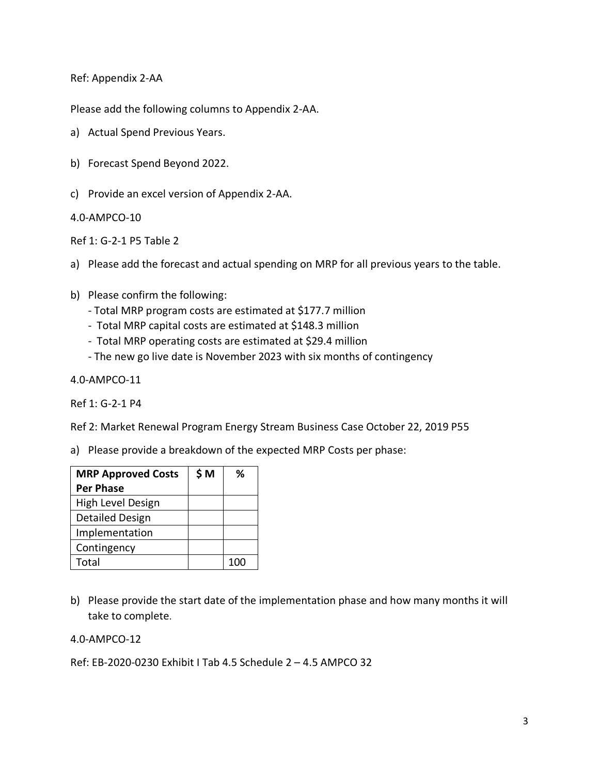Ref: Appendix 2-AA

Please add the following columns to Appendix 2-AA.

- a) Actual Spend Previous Years.
- b) Forecast Spend Beyond 2022.
- c) Provide an excel version of Appendix 2-AA.

4.0-AMPCO-10

Ref 1: G-2-1 P5 Table 2

- a) Please add the forecast and actual spending on MRP for all previous years to the table.
- b) Please confirm the following:
	- Total MRP program costs are estimated at \$177.7 million
	- Total MRP capital costs are estimated at \$148.3 million
	- Total MRP operating costs are estimated at \$29.4 million
	- The new go live date is November 2023 with six months of contingency

4.0-AMPCO-11

Ref 1: G-2-1 P4

Ref 2: Market Renewal Program Energy Stream Business Case October 22, 2019 P55

a) Please provide a breakdown of the expected MRP Costs per phase:

| <b>MRP Approved Costs</b> | \$M | ℅ |
|---------------------------|-----|---|
| <b>Per Phase</b>          |     |   |
| High Level Design         |     |   |
| Detailed Design           |     |   |
| Implementation            |     |   |
| Contingency               |     |   |
| Total                     |     |   |

b) Please provide the start date of the implementation phase and how many months it will take to complete.

#### 4.0-AMPCO-12

Ref: EB-2020-0230 Exhibit I Tab 4.5 Schedule 2 – 4.5 AMPCO 32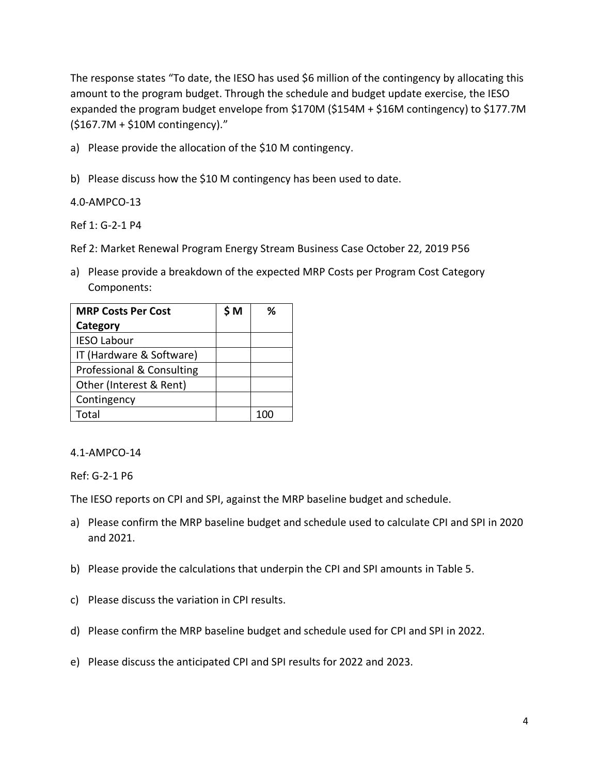The response states "To date, the IESO has used \$6 million of the contingency by allocating this amount to the program budget. Through the schedule and budget update exercise, the IESO expanded the program budget envelope from \$170M (\$154M + \$16M contingency) to \$177.7M (\$167.7M + \$10M contingency)."

a) Please provide the allocation of the \$10 M contingency.

b) Please discuss how the \$10 M contingency has been used to date.

4.0-AMPCO-13

Ref 1: G-2-1 P4

Ref 2: Market Renewal Program Energy Stream Business Case October 22, 2019 P56

a) Please provide a breakdown of the expected MRP Costs per Program Cost Category Components:

| <b>MRP Costs Per Cost</b> | \$ M | %   |
|---------------------------|------|-----|
| Category                  |      |     |
| <b>IESO Labour</b>        |      |     |
| IT (Hardware & Software)  |      |     |
| Professional & Consulting |      |     |
| Other (Interest & Rent)   |      |     |
| Contingency               |      |     |
| Total                     |      | 100 |

# 4.1-AMPCO-14

Ref: G-2-1 P6

The IESO reports on CPI and SPI, against the MRP baseline budget and schedule.

- a) Please confirm the MRP baseline budget and schedule used to calculate CPI and SPI in 2020 and 2021.
- b) Please provide the calculations that underpin the CPI and SPI amounts in Table 5.
- c) Please discuss the variation in CPI results.
- d) Please confirm the MRP baseline budget and schedule used for CPI and SPI in 2022.
- e) Please discuss the anticipated CPI and SPI results for 2022 and 2023.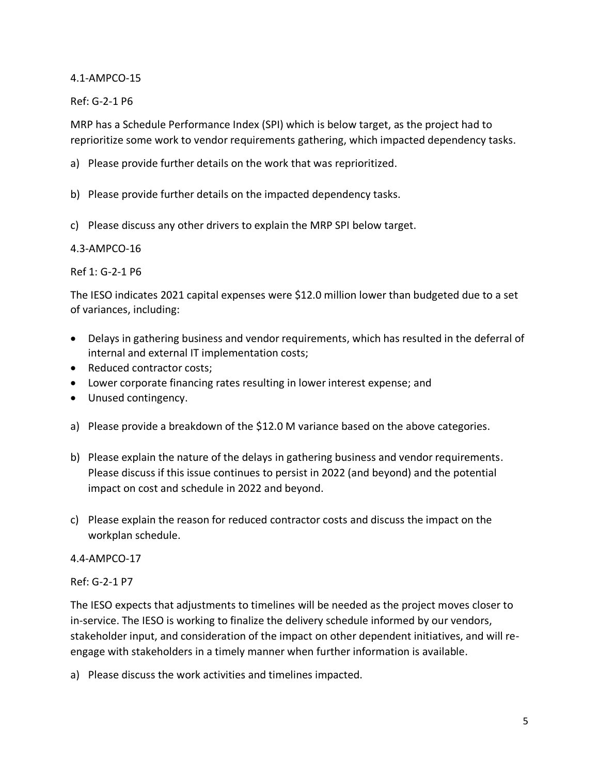4.1-AMPCO-15

Ref: G-2-1 P6

MRP has a Schedule Performance Index (SPI) which is below target, as the project had to reprioritize some work to vendor requirements gathering, which impacted dependency tasks.

- a) Please provide further details on the work that was reprioritized.
- b) Please provide further details on the impacted dependency tasks.
- c) Please discuss any other drivers to explain the MRP SPI below target.

## 4.3-AMPCO-16

Ref 1: G-2-1 P6

The IESO indicates 2021 capital expenses were \$12.0 million lower than budgeted due to a set of variances, including:

- Delays in gathering business and vendor requirements, which has resulted in the deferral of internal and external IT implementation costs;
- Reduced contractor costs;
- Lower corporate financing rates resulting in lower interest expense; and
- Unused contingency.
- a) Please provide a breakdown of the \$12.0 M variance based on the above categories.
- b) Please explain the nature of the delays in gathering business and vendor requirements. Please discuss if this issue continues to persist in 2022 (and beyond) and the potential impact on cost and schedule in 2022 and beyond.
- c) Please explain the reason for reduced contractor costs and discuss the impact on the workplan schedule.

#### 4.4-AMPCO-17

Ref: G-2-1 P7

The IESO expects that adjustments to timelines will be needed as the project moves closer to in-service. The IESO is working to finalize the delivery schedule informed by our vendors, stakeholder input, and consideration of the impact on other dependent initiatives, and will reengage with stakeholders in a timely manner when further information is available.

a) Please discuss the work activities and timelines impacted.